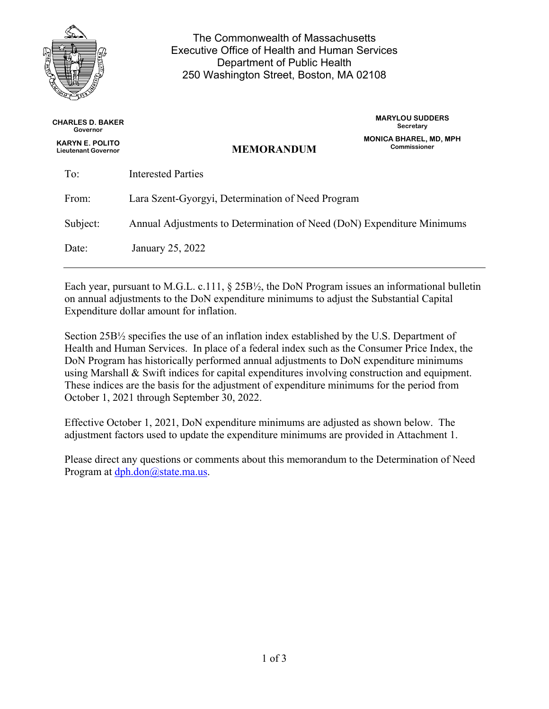

The Commonwealth of Massachusetts Executive Office of Health and Human Services Department of Public Health 250 Washington Street, Boston, MA 02108

| <b>CHARLES D. BAKER</b><br>Governor                  |                                                                        | <b>MARYLOU SUDDERS</b><br>Secretary           |  |
|------------------------------------------------------|------------------------------------------------------------------------|-----------------------------------------------|--|
| <b>KARYN E. POLITO</b><br><b>Lieutenant Governor</b> | <b>MEMORANDUM</b>                                                      | <b>MONICA BHAREL, MD, MPH</b><br>Commissioner |  |
| To:                                                  | Interested Parties                                                     |                                               |  |
| From:                                                | Lara Szent-Gyorgyi, Determination of Need Program                      |                                               |  |
| Subject:                                             | Annual Adjustments to Determination of Need (DoN) Expenditure Minimums |                                               |  |
| Date:                                                | January 25, 2022                                                       |                                               |  |
|                                                      |                                                                        |                                               |  |

Each year, pursuant to M.G.L. c.111, § 25B½, the DoN Program issues an informational bulletin on annual adjustments to the DoN expenditure minimums to adjust the Substantial Capital Expenditure dollar amount for inflation.

Section 25B½ specifies the use of an inflation index established by the U.S. Department of Health and Human Services. In place of a federal index such as the Consumer Price Index, the DoN Program has historically performed annual adjustments to DoN expenditure minimums using Marshall & Swift indices for capital expenditures involving construction and equipment. These indices are the basis for the adjustment of expenditure minimums for the period from October 1, 2021 through September 30, 2022.

Effective October 1, 2021, DoN expenditure minimums are adjusted as shown below. The adjustment factors used to update the expenditure minimums are provided in Attachment 1.

Please direct any questions or comments about this memorandum to the Determination of Need Program at [dph.don@state.ma.us.](mailto:dph.don@state.ma.us)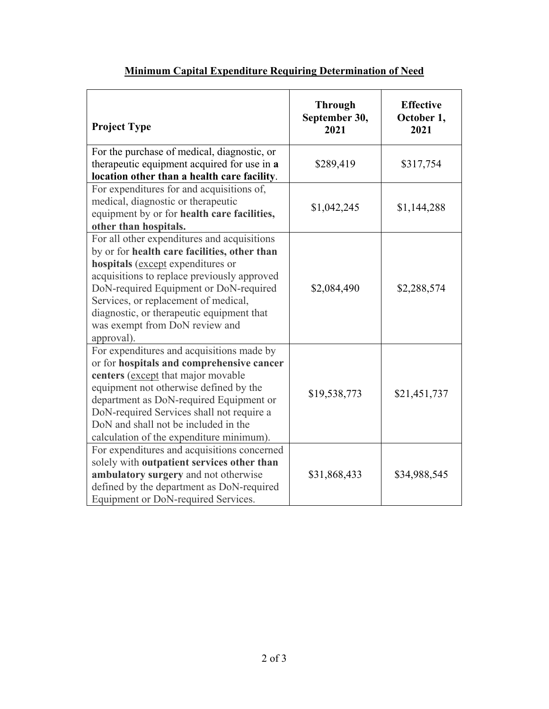| <b>Project Type</b>                                                                                                                                                                                                                                                                                                                                            | <b>Through</b><br>September 30,<br>2021 | <b>Effective</b><br>October 1,<br>2021 |
|----------------------------------------------------------------------------------------------------------------------------------------------------------------------------------------------------------------------------------------------------------------------------------------------------------------------------------------------------------------|-----------------------------------------|----------------------------------------|
| For the purchase of medical, diagnostic, or<br>therapeutic equipment acquired for use in a<br>location other than a health care facility.                                                                                                                                                                                                                      | \$289,419                               | \$317,754                              |
| For expenditures for and acquisitions of,<br>medical, diagnostic or therapeutic<br>equipment by or for health care facilities,<br>other than hospitals.                                                                                                                                                                                                        | \$1,042,245                             | \$1,144,288                            |
| For all other expenditures and acquisitions<br>by or for health care facilities, other than<br>hospitals (except expenditures or<br>acquisitions to replace previously approved<br>DoN-required Equipment or DoN-required<br>Services, or replacement of medical,<br>diagnostic, or therapeutic equipment that<br>was exempt from DoN review and<br>approval). | \$2,084,490                             | \$2,288,574                            |
| For expenditures and acquisitions made by<br>or for hospitals and comprehensive cancer<br>centers (except that major movable<br>equipment not otherwise defined by the<br>department as DoN-required Equipment or<br>DoN-required Services shall not require a<br>DoN and shall not be included in the<br>calculation of the expenditure minimum).             | \$19,538,773                            | \$21,451,737                           |
| For expenditures and acquisitions concerned<br>solely with outpatient services other than<br>ambulatory surgery and not otherwise<br>defined by the department as DoN-required<br>Equipment or DoN-required Services.                                                                                                                                          | \$31,868,433                            | \$34,988,545                           |

## **Minimum Capital Expenditure Requiring Determination of Need**